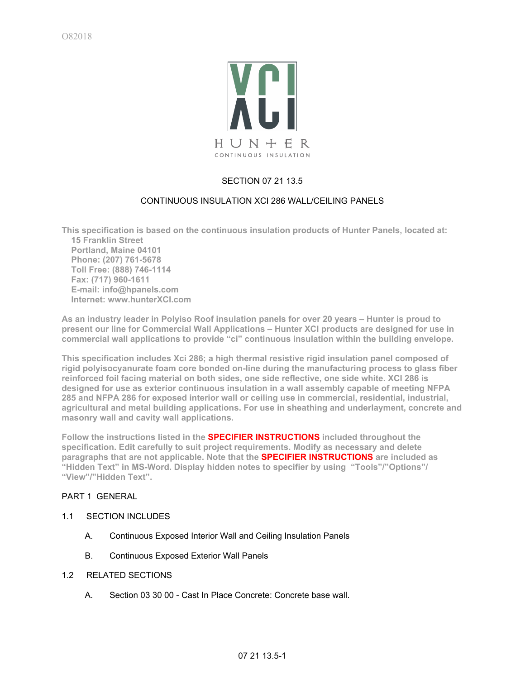

# SECTION 07 21 13.5

## CONTINUOUS INSULATION XCI 286 WALL/CEILING PANELS

**This specification is based on the continuous insulation products of Hunter Panels, located at: 15 Franklin Street Portland, Maine 04101 Phone: (207) 761-5678 Toll Free: (888) 746-1114 Fax: (717) 960-1611 E-mail: info@hpanels.com Internet: www.hunterXCI.com**

**As an industry leader in Polyiso Roof insulation panels for over 20 years – Hunter is proud to present our line for Commercial Wall Applications – Hunter XCI products are designed for use in commercial wall applications to provide "ci" continuous insulation within the building envelope.**

**This specification includes Xci 286; a high thermal resistive rigid insulation panel composed of rigid polyisocyanurate foam core bonded on-line during the manufacturing process to glass fiber reinforced foil facing material on both sides, one side reflective, one side white. XCI 286 is designed for use as exterior continuous insulation in a wall assembly capable of meeting NFPA 285 and NFPA 286 for exposed interior wall or ceiling use in commercial, residential, industrial, agricultural and metal building applications. For use in sheathing and underlayment, concrete and masonry wall and cavity wall applications.**

**Follow the instructions listed in the SPECIFIER INSTRUCTIONS included throughout the specification. Edit carefully to suit project requirements. Modify as necessary and delete paragraphs that are not applicable. Note that the SPECIFIER INSTRUCTIONS are included as "Hidden Text" in MS-Word. Display hidden notes to specifier by using "Tools"/"Options"/ "View"/"Hidden Text".**

## PART 1 GENERAL

- 1.1 SECTION INCLUDES
	- A. Continuous Exposed Interior Wall and Ceiling Insulation Panels
	- B. Continuous Exposed Exterior Wall Panels
- 1.2 RELATED SECTIONS
	- A. Section 03 30 00 Cast In Place Concrete: Concrete base wall.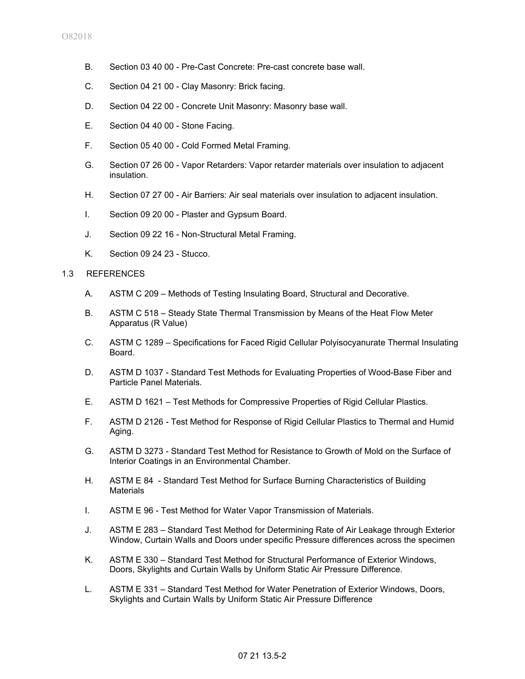- B. Section 03 40 00 Pre-Cast Concrete: Pre-cast concrete base wall.
- C. Section 04 21 00 Clay Masonry: Brick facing.
- D. Section 04 22 00 Concrete Unit Masonry: Masonry base wall.
- E. Section 04 40 00 Stone Facing.
- F. Section 05 40 00 Cold Formed Metal Framing.
- G. Section 07 26 00 Vapor Retarders: Vapor retarder materials over insulation to adjacent insulation.
- H. Section 07 27 00 Air Barriers: Air seal materials over insulation to adjacent insulation.
- I. Section 09 20 00 Plaster and Gypsum Board.
- J. Section 09 22 16 Non-Structural Metal Framing.
- K. Section 09 24 23 Stucco.

### 1.3 REFERENCES

- A. ASTM C 209 Methods of Testing Insulating Board, Structural and Decorative.
- B. ASTM C 518 Steady State Thermal Transmission by Means of the Heat Flow Meter Apparatus (R Value)
- C. ASTM C 1289 Specifications for Faced Rigid Cellular Polyisocyanurate Thermal Insulating Board.
- D. ASTM D 1037 Standard Test Methods for Evaluating Properties of Wood-Base Fiber and Particle Panel Materials.
- E. ASTM D 1621 Test Methods for Compressive Properties of Rigid Cellular Plastics.
- F. ASTM D 2126 Test Method for Response of Rigid Cellular Plastics to Thermal and Humid Aging.
- G. ASTM D 3273 Standard Test Method for Resistance to Growth of Mold on the Surface of Interior Coatings in an Environmental Chamber.
- H. ASTM E 84 Standard Test Method for Surface Burning Characteristics of Building **Materials**
- I. ASTM E 96 Test Method for Water Vapor Transmission of Materials.
- J. ASTM E 283 Standard Test Method for Determining Rate of Air Leakage through Exterior Window, Curtain Walls and Doors under specific Pressure differences across the specimen
- K. ASTM E 330 Standard Test Method for Structural Performance of Exterior Windows, Doors, Skylights and Curtain Walls by Uniform Static Air Pressure Difference.
- L. ASTM E 331 Standard Test Method for Water Penetration of Exterior Windows, Doors, Skylights and Curtain Walls by Uniform Static Air Pressure Difference

# 07 21 13.5-2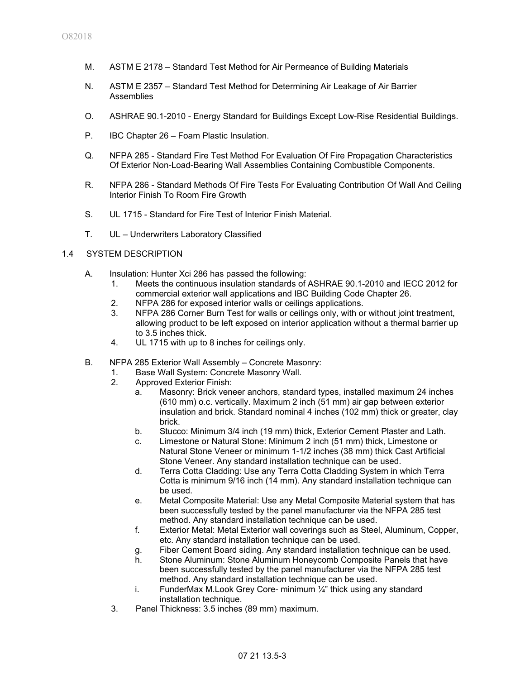- M. ASTM E 2178 Standard Test Method for Air Permeance of Building Materials
- N. ASTM E 2357 Standard Test Method for Determining Air Leakage of Air Barrier Assemblies
- O. ASHRAE 90.1-2010 Energy Standard for Buildings Except Low-Rise Residential Buildings.
- P. IBC Chapter 26 Foam Plastic Insulation.
- Q. NFPA 285 Standard Fire Test Method For Evaluation Of Fire Propagation Characteristics Of Exterior Non-Load-Bearing Wall Assemblies Containing Combustible Components.
- R. NFPA 286 Standard Methods Of Fire Tests For Evaluating Contribution Of Wall And Ceiling Interior Finish To Room Fire Growth
- S. UL 1715 Standard for Fire Test of Interior Finish Material.
- T. UL Underwriters Laboratory Classified

#### 1.4 SYSTEM DESCRIPTION

- A. Insulation: Hunter Xci 286 has passed the following:
	- 1. Meets the continuous insulation standards of ASHRAE 90.1-2010 and IECC 2012 for commercial exterior wall applications and IBC Building Code Chapter 26.
	- 2. NFPA 286 for exposed interior walls or ceilings applications.
	- 3. NFPA 286 Corner Burn Test for walls or ceilings only, with or without joint treatment, allowing product to be left exposed on interior application without a thermal barrier up to 3.5 inches thick.
	- 4. UL 1715 with up to 8 inches for ceilings only.
- B. NFPA 285 Exterior Wall Assembly Concrete Masonry:
	- 1. Base Wall System: Concrete Masonry Wall.
	- 2. Approved Exterior Finish:
		- a. Masonry: Brick veneer anchors, standard types, installed maximum 24 inches (610 mm) o.c. vertically. Maximum 2 inch (51 mm) air gap between exterior insulation and brick. Standard nominal 4 inches (102 mm) thick or greater, clay brick.
		- b. Stucco: Minimum 3/4 inch (19 mm) thick, Exterior Cement Plaster and Lath.
		- c. Limestone or Natural Stone: Minimum 2 inch (51 mm) thick, Limestone or Natural Stone Veneer or minimum 1-1/2 inches (38 mm) thick Cast Artificial Stone Veneer. Any standard installation technique can be used.
		- d. Terra Cotta Cladding: Use any Terra Cotta Cladding System in which Terra Cotta is minimum 9/16 inch (14 mm). Any standard installation technique can be used.
		- e. Metal Composite Material: Use any Metal Composite Material system that has been successfully tested by the panel manufacturer via the NFPA 285 test method. Any standard installation technique can be used.
		- f. Exterior Metal: Metal Exterior wall coverings such as Steel, Aluminum, Copper, etc. Any standard installation technique can be used.
		- g. Fiber Cement Board siding. Any standard installation technique can be used.
		- h. Stone Aluminum: Stone Aluminum Honeycomb Composite Panels that have been successfully tested by the panel manufacturer via the NFPA 285 test method. Any standard installation technique can be used.
		- i. FunderMax M. Look Grey Core- minimum  $\frac{1}{4}$ " thick using any standard installation technique.
	- 3. Panel Thickness: 3.5 inches (89 mm) maximum.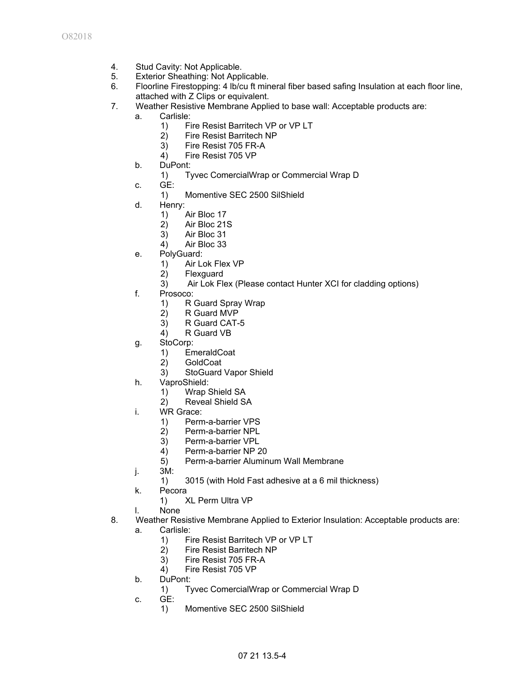- 4. Stud Cavity: Not Applicable.
- 5. Exterior Sheathing: Not Applicable.
- 6. Floorline Firestopping: 4 lb/cu ft mineral fiber based safing Insulation at each floor line, attached with Z Clips or equivalent.
- 7. Weather Resistive Membrane Applied to base wall: Acceptable products are:
	- a. Carlisle:
		- 1) Fire Resist Barritech VP or VP LT
		- 2) Fire Resist Barritech NP
		- 3) Fire Resist 705 FR-A
		- 4) Fire Resist 705 VP
	- b. DuPont:
		- 1) Tyvec ComercialWrap or Commercial Wrap D
	- c. GE:
		- 1) Momentive SEC 2500 SilShield
	- d. Henry:
		- 1) Air Bloc 17
		- 2) Air Bloc 21S
		- 3) Air Bloc 31
		- 4) Air Bloc 33
	- e. PolyGuard:
		- 1) Air Lok Flex VP
		- 2) Flexguard
		- 3) Air Lok Flex (Please contact Hunter XCI for cladding options)
	- f. Prosoco:
		- 1) R Guard Spray Wrap
		- 2) R Guard MVP
		- 3) R Guard CAT-5
		- 4) R Guard VB
	- g. StoCorp:
		- 1) EmeraldCoat
		- 2) GoldCoat
		- 3) StoGuard Vapor Shield
	- h. VaproShield:
		- 1) Wrap Shield SA
			- 2) Reveal Shield SA
	- i. WR Grace:
		- 1) Perm-a-barrier VPS
		- 2) Perm-a-barrier NPL
		- 3) Perm-a-barrier VPL
		- 4) Perm-a-barrier NP 20
		- 5) Perm-a-barrier Aluminum Wall Membrane
	- j. 3M:
		- 1) 3015 (with Hold Fast adhesive at a 6 mil thickness)
	- k. Pecora
		- 1) XL Perm Ultra VP
	- l. None
- 8. Weather Resistive Membrane Applied to Exterior Insulation: Acceptable products are:
	- a. Carlisle:
		- 1) Fire Resist Barritech VP or VP LT
		- 2) Fire Resist Barritech NP
		- 3) Fire Resist 705 FR-A
		- 4) Fire Resist 705 VP
	- b. DuPont:
		- 1) Tyvec ComercialWrap or Commercial Wrap D
	- c. GE:
		- 1) Momentive SEC 2500 SilShield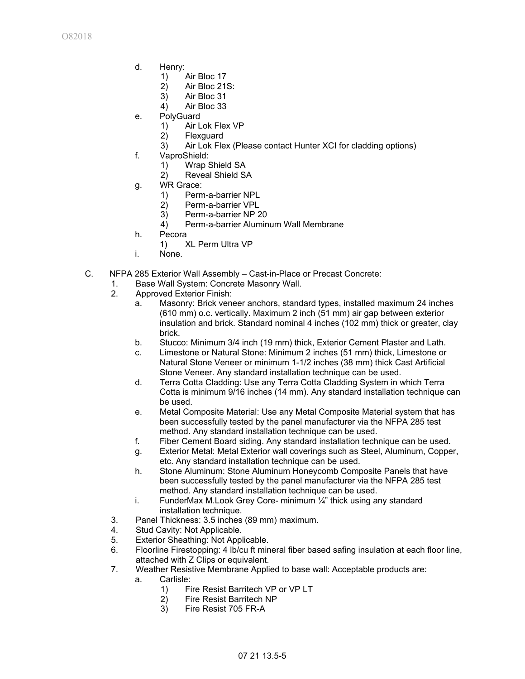- d. Henry:
	- 1) Air Bloc 17
	- 2) Air Bloc 21S:
	- 3) Air Bloc 31
	- 4) Air Bloc 33
- e. PolyGuard
	- 1) Air Lok Flex VP
	- 2) Flexguard
	- 3) Air Lok Flex (Please contact Hunter XCI for cladding options)
- f. VaproShield:
	- 1) Wrap Shield SA
	- 2) Reveal Shield SA
- g. WR Grace:
	- 1) Perm-a-barrier NPL
	- 2) Perm-a-barrier VPL
	- 3) Perm-a-barrier NP 20
	- 4) Perm-a-barrier Aluminum Wall Membrane
- h. Pecora
	- 1) XL Perm Ultra VP
- i. None.
- C. NFPA 285 Exterior Wall Assembly Cast-in-Place or Precast Concrete:
	- 1. Base Wall System: Concrete Masonry Wall.
	- 2. Approved Exterior Finish:
		- a. Masonry: Brick veneer anchors, standard types, installed maximum 24 inches (610 mm) o.c. vertically. Maximum 2 inch (51 mm) air gap between exterior insulation and brick. Standard nominal 4 inches (102 mm) thick or greater, clay brick.
		- b. Stucco: Minimum 3/4 inch (19 mm) thick, Exterior Cement Plaster and Lath.
		- c. Limestone or Natural Stone: Minimum 2 inches (51 mm) thick, Limestone or Natural Stone Veneer or minimum 1-1/2 inches (38 mm) thick Cast Artificial Stone Veneer. Any standard installation technique can be used.
		- d. Terra Cotta Cladding: Use any Terra Cotta Cladding System in which Terra Cotta is minimum 9/16 inches (14 mm). Any standard installation technique can be used.
		- e. Metal Composite Material: Use any Metal Composite Material system that has been successfully tested by the panel manufacturer via the NFPA 285 test method. Any standard installation technique can be used.
		- f. Fiber Cement Board siding. Any standard installation technique can be used.
		- g. Exterior Metal: Metal Exterior wall coverings such as Steel, Aluminum, Copper, etc. Any standard installation technique can be used.
		- h. Stone Aluminum: Stone Aluminum Honeycomb Composite Panels that have been successfully tested by the panel manufacturer via the NFPA 285 test method. Any standard installation technique can be used.
		- i. FunderMax M.Look Grey Core- minimum ¼" thick using any standard installation technique.
	- 3. Panel Thickness: 3.5 inches (89 mm) maximum.
	- 4. Stud Cavity: Not Applicable.
	- 5. Exterior Sheathing: Not Applicable.
	- 6. Floorline Firestopping: 4 lb/cu ft mineral fiber based safing insulation at each floor line, attached with Z Clips or equivalent.
	- 7. Weather Resistive Membrane Applied to base wall: Acceptable products are:
		- a. Carlisle:
			- 1) Fire Resist Barritech VP or VP LT
			- 2) Fire Resist Barritech NP
			- 3) Fire Resist 705 FR-A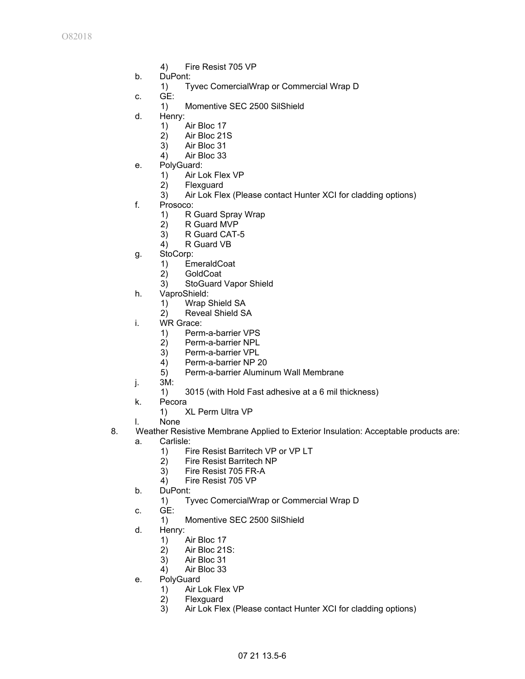- 4) Fire Resist 705 VP
- b. DuPont:
	- 1) Tyvec ComercialWrap or Commercial Wrap D
- c. GE:
	- 1) Momentive SEC 2500 SilShield
- d. Henry:
	- 1) Air Bloc 17
	- 2) Air Bloc 21S
	- 3) Air Bloc 31
	- 4) Air Bloc 33
- e. PolyGuard:
	- 1) Air Lok Flex VP<br>2) Flexquard
	- **Flexguard**
	- 3) Air Lok Flex (Please contact Hunter XCI for cladding options)
- f. Prosoco:
	- 1) R Guard Spray Wrap
	- 2) R Guard MVP
	- 3) R Guard CAT-5
	- 4) R Guard VB
- g. StoCorp:
	- 1) EmeraldCoat
	- 2) GoldCoat
	- 3) StoGuard Vapor Shield
- h. VaproShield:
	- 1) Wrap Shield SA
	- 2) Reveal Shield SA
- i. WR Grace:
	- 1) Perm-a-barrier VPS
	- 2) Perm-a-barrier NPL
	- 3) Perm-a-barrier VPL
	- 4) Perm-a-barrier NP 20
	- 5) Perm-a-barrier Aluminum Wall Membrane
- j. 3M:
	- 1) 3015 (with Hold Fast adhesive at a 6 mil thickness)
- k. Pecora
	- 1) XL Perm Ultra VP
- l. None
- 8. Weather Resistive Membrane Applied to Exterior Insulation: Acceptable products are:
	- a. Carlisle:
		- 1) Fire Resist Barritech VP or VP LT
		- 2) Fire Resist Barritech NP
		- 3) Fire Resist 705 FR-A
		- 4) Fire Resist 705 VP
	- b. DuPont:
		- 1) Tyvec ComercialWrap or Commercial Wrap D
	- c. GE:
		- 1) Momentive SEC 2500 SilShield
	- d. Henry:
		- 1) Air Bloc 17
		- 2) Air Bloc 21S:
		- 3) Air Bloc 31
		- 4) Air Bloc 33
	- e. PolyGuard
		- 1) Air Lok Flex VP<br>2) Flexguard
		- **Flexguard**
		- 3) Air Lok Flex (Please contact Hunter XCI for cladding options)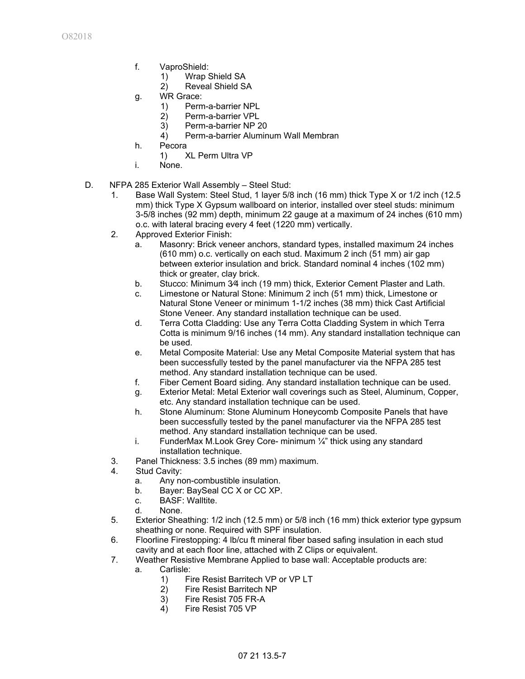- f. VaproShield:
	- 1) Wrap Shield SA
	- 2) Reveal Shield SA
- g. WR Grace:
	- 1) Perm-a-barrier NPL
	- 2) Perm-a-barrier VPL
	- 3) Perm-a-barrier NP 20
	- 4) Perm-a-barrier Aluminum Wall Membran
- h. Pecora
	- 1) XL Perm Ultra VP
- i. None.
- D. NFPA 285 Exterior Wall Assembly Steel Stud:
	- 1. Base Wall System: Steel Stud, 1 layer 5/8 inch (16 mm) thick Type X or 1/2 inch (12.5 mm) thick Type X Gypsum wallboard on interior, installed over steel studs: minimum 3-5/8 inches (92 mm) depth, minimum 22 gauge at a maximum of 24 inches (610 mm) o.c. with lateral bracing every 4 feet (1220 mm) vertically.
	- 2. Approved Exterior Finish:
		- a. Masonry: Brick veneer anchors, standard types, installed maximum 24 inches (610 mm) o.c. vertically on each stud. Maximum 2 inch (51 mm) air gap between exterior insulation and brick. Standard nominal 4 inches (102 mm) thick or greater, clay brick.
		- b. Stucco: Minimum 3⁄4 inch (19 mm) thick, Exterior Cement Plaster and Lath.
		- c. Limestone or Natural Stone: Minimum 2 inch (51 mm) thick, Limestone or Natural Stone Veneer or minimum 1-1/2 inches (38 mm) thick Cast Artificial Stone Veneer. Any standard installation technique can be used.
		- d. Terra Cotta Cladding: Use any Terra Cotta Cladding System in which Terra Cotta is minimum 9/16 inches (14 mm). Any standard installation technique can be used.
		- e. Metal Composite Material: Use any Metal Composite Material system that has been successfully tested by the panel manufacturer via the NFPA 285 test method. Any standard installation technique can be used.
		- f. Fiber Cement Board siding. Any standard installation technique can be used.
		- g. Exterior Metal: Metal Exterior wall coverings such as Steel, Aluminum, Copper, etc. Any standard installation technique can be used.
		- h. Stone Aluminum: Stone Aluminum Honeycomb Composite Panels that have been successfully tested by the panel manufacturer via the NFPA 285 test method. Any standard installation technique can be used.
		- i. FunderMax M.Look Grey Core- minimum ¼" thick using any standard installation technique.
	- 3. Panel Thickness: 3.5 inches (89 mm) maximum.
	- 4. Stud Cavity:
		- a. Any non-combustible insulation.
		- b. Bayer: BaySeal CC X or CC XP.
		- c. BASF: Walltite.
		- d. None.
	- 5. Exterior Sheathing: 1/2 inch (12.5 mm) or 5/8 inch (16 mm) thick exterior type gypsum sheathing or none. Required with SPF insulation.
	- 6. Floorline Firestopping: 4 lb/cu ft mineral fiber based safing insulation in each stud cavity and at each floor line, attached with Z Clips or equivalent.
	- 7. Weather Resistive Membrane Applied to base wall: Acceptable products are:
		- a. Carlisle:
			- 1) Fire Resist Barritech VP or VP LT
			- 2) Fire Resist Barritech NP
			- 3) Fire Resist 705 FR-A
			- 4) Fire Resist 705 VP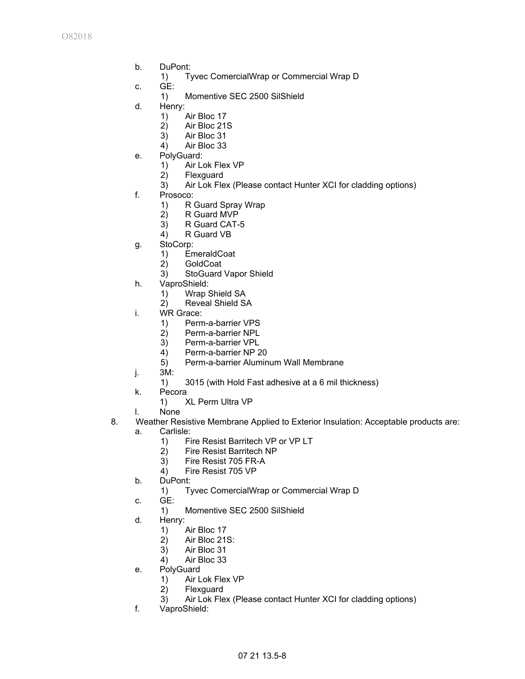- b. DuPont:
	- 1) Tyvec ComercialWrap or Commercial Wrap D
- c. GE:
	- 1) Momentive SEC 2500 SilShield
- d. Henry:
	- 1) Air Bloc 17
	- 2) Air Bloc 21S
	- 3) Air Bloc 31
	- 4) Air Bloc 33
- e. PolyGuard:
	- 1) Air Lok Flex VP
	- 2) Flexguard
	- 3) Air Lok Flex (Please contact Hunter XCI for cladding options)
- f. Prosoco:
	- 1) R Guard Spray Wrap
	- 2) R Guard MVP
	- 3) R Guard CAT-5
	- 4) R Guard VB
- g. StoCorp:
	- 1) EmeraldCoat<br>2) GoldCoat
	- 2) GoldCoat
	- 3) StoGuard Vapor Shield
- h. VaproShield:
	- 1) Wrap Shield SA
	- 2) Reveal Shield SA
- i. WR Grace:
	- 1) Perm-a-barrier VPS
	- 2) Perm-a-barrier NPL
	- 3) Perm-a-barrier VPL
	- 4) Perm-a-barrier NP 20
	- 5) Perm-a-barrier Aluminum Wall Membrane
- j. 3M:
	- 1) 3015 (with Hold Fast adhesive at a 6 mil thickness)
- k. Pecora
	- 1) XL Perm Ultra VP
- l. None
- 8. Weather Resistive Membrane Applied to Exterior Insulation: Acceptable products are:
	- a. Carlisle:
		- 1) Fire Resist Barritech VP or VP LT
		- 2) Fire Resist Barritech NP
		- 3) Fire Resist 705 FR-A
		- 4) Fire Resist 705 VP
	- b. DuPont:
		- 1) Tyvec ComercialWrap or Commercial Wrap D
	- c. GE:
		- 1) Momentive SEC 2500 SilShield
	- d. Henry:
		- 1) Air Bloc 17
		- 2) Air Bloc 21S:
		- 3) Air Bloc 31
		- 4) Air Bloc 33
	- e. PolyGuard
		- 1) Air Lok Flex VP
		- 2) Flexguard
		- 3) Air Lok Flex (Please contact Hunter XCI for cladding options)
	- f. VaproShield: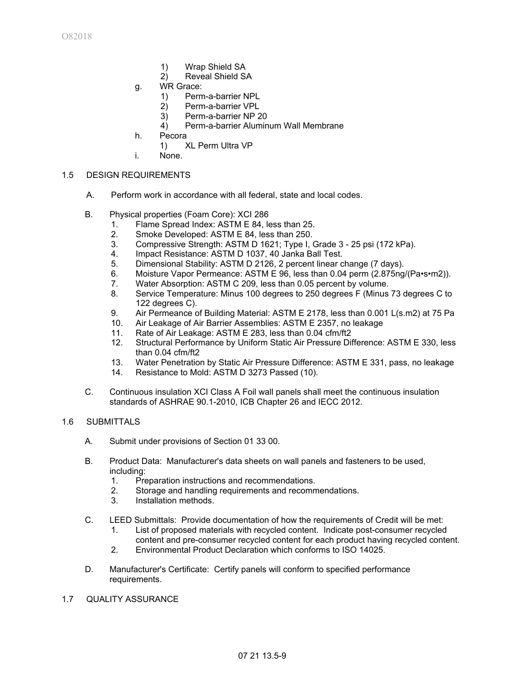- 1) Wrap Shield SA
- 2) Reveal Shield SA
- g. WR Grace:
	- 1) Perm-a-barrier NPL
	- 2) Perm-a-barrier VPL
	- 3) Perm-a-barrier NP 20
	- 4) Perm-a-barrier Aluminum Wall Membrane
- h. Pecora
	- 1) XL Perm Ultra VP
- i. None.

## 1.5 DESIGN REQUIREMENTS

- A. Perform work in accordance with all federal, state and local codes.
- B. Physical properties (Foam Core): XCI 286
	- 1. Flame Spread Index: ASTM E 84, less than 25.
	- 2. Smoke Developed: ASTM E 84, less than 250.<br>3. Compressive Strength: ASTM D 1621: Type I.
	- 3. Compressive Strength: ASTM D 1621; Type I, Grade 3 25 psi (172 kPa).
	- 4. Impact Resistance: ASTM D 1037, 40 Janka Ball Test.
	- 5. Dimensional Stability: ASTM D 2126, 2 percent linear change (7 days).
	- 6. Moisture Vapor Permeance: ASTM E 96, less than 0.04 perm (2.875ng/(Pa•s•m2)).<br>7. Water Absorption: ASTM C 209. less than 0.05 percent by volume.
	- Water Absorption: ASTM C 209, less than 0.05 percent by volume.
	- 8. Service Temperature: Minus 100 degrees to 250 degrees F (Minus 73 degrees C to 122 degrees C).
	- 9. Air Permeance of Building Material: ASTM E 2178, less than 0.001 L(s.m2) at 75 Pa
	- 10. Air Leakage of Air Barrier Assemblies: ASTM E 2357, no leakage
	- 11. Rate of Air Leakage: ASTM E 283, less than 0.04 cfm/ft2
	- 12. Structural Performance by Uniform Static Air Pressure Difference: ASTM E 330, less than 0.04 cfm/ft2
	- 13. Water Penetration by Static Air Pressure Difference: ASTM E 331, pass, no leakage
	- 14. Resistance to Mold: ASTM D 3273 Passed (10).
- C. Continuous insulation XCI Class A Foil wall panels shall meet the continuous insulation standards of ASHRAE 90.1-2010, ICB Chapter 26 and IECC 2012.

#### 1.6 SUBMITTALS

- A. Submit under provisions of Section 01 33 00.
- B. Product Data: Manufacturer's data sheets on wall panels and fasteners to be used, including:
	- 1. Preparation instructions and recommendations.
	- 2. Storage and handling requirements and recommendations.
	- 3. Installation methods.
- C. LEED Submittals: Provide documentation of how the requirements of Credit will be met:
	- 1. List of proposed materials with recycled content. Indicate post-consumer recycled content and pre-consumer recycled content for each product having recycled content.
	- 2. Environmental Product Declaration which conforms to ISO 14025.
- D. Manufacturer's Certificate: Certify panels will conform to specified performance requirements.
- 1.7 QUALITY ASSURANCE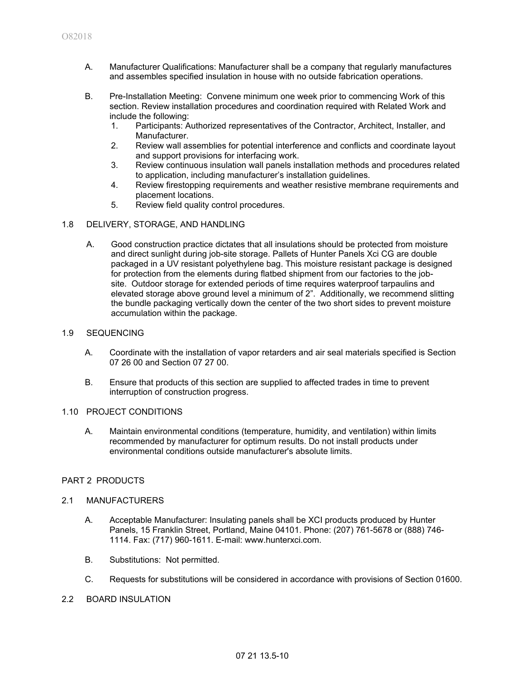- A. Manufacturer Qualifications: Manufacturer shall be a company that regularly manufactures and assembles specified insulation in house with no outside fabrication operations.
- B. Pre-Installation Meeting: Convene minimum one week prior to commencing Work of this section. Review installation procedures and coordination required with Related Work and include the following:
	- 1. Participants: Authorized representatives of the Contractor, Architect, Installer, and Manufacturer.
	- 2. Review wall assemblies for potential interference and conflicts and coordinate layout and support provisions for interfacing work.
	- 3. Review continuous insulation wall panels installation methods and procedures related to application, including manufacturer's installation guidelines.
	- 4. Review firestopping requirements and weather resistive membrane requirements and placement locations.
	- 5. Review field quality control procedures.

#### 1.8 DELIVERY, STORAGE, AND HANDLING

A. Good construction practice dictates that all insulations should be protected from moisture and direct sunlight during job-site storage. Pallets of Hunter Panels Xci CG are double packaged in a UV resistant polyethylene bag. This moisture resistant package is designed for protection from the elements during flatbed shipment from our factories to the jobsite. Outdoor storage for extended periods of time requires waterproof tarpaulins and elevated storage above ground level a minimum of 2". Additionally, we recommend slitting the bundle packaging vertically down the center of the two short sides to prevent moisture accumulation within the package.

### 1.9 SEQUENCING

- A. Coordinate with the installation of vapor retarders and air seal materials specified is Section 07 26 00 and Section 07 27 00.
- B. Ensure that products of this section are supplied to affected trades in time to prevent interruption of construction progress.

#### 1.10 PROJECT CONDITIONS

A. Maintain environmental conditions (temperature, humidity, and ventilation) within limits recommended by manufacturer for optimum results. Do not install products under environmental conditions outside manufacturer's absolute limits.

#### PART 2 PRODUCTS

#### 2.1 MANUFACTURERS

- A. Acceptable Manufacturer: Insulating panels shall be XCI products produced by Hunter Panels, 15 Franklin Street, Portland, Maine 04101. Phone: (207) 761-5678 or (888) 746- 1114. Fax: (717) 960-1611. E-mail: www.hunterxci.com.
- B. Substitutions: Not permitted.
- C. Requests for substitutions will be considered in accordance with provisions of Section 01600.
- 2.2 BOARD INSULATION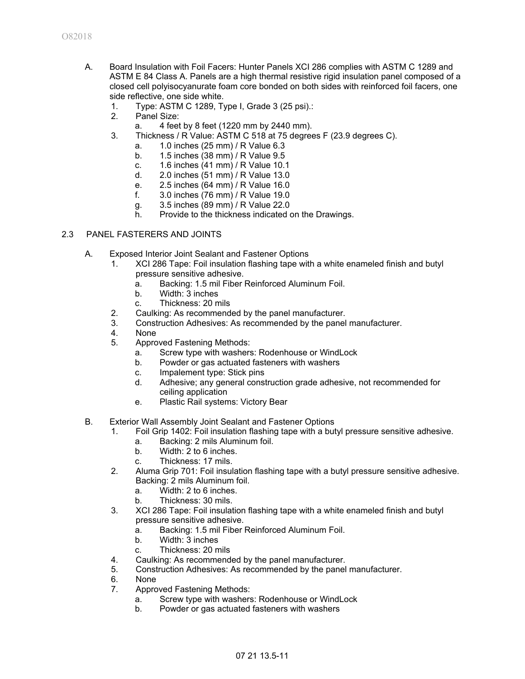- A. Board Insulation with Foil Facers: Hunter Panels XCI 286 complies with ASTM C 1289 and ASTM E 84 Class A. Panels are a high thermal resistive rigid insulation panel composed of a closed cell polyisocyanurate foam core bonded on both sides with reinforced foil facers, one side reflective, one side white.
	- 1. Type: ASTM C 1289, Type I, Grade 3 (25 psi).:
	- 2. Panel Size:
		- a. 4 feet by 8 feet (1220 mm by 2440 mm).
	- 3. Thickness / R Value: ASTM C 518 at 75 degrees F (23.9 degrees C).
		- a. 1.0 inches (25 mm) / R Value 6.3
		- b. 1.5 inches (38 mm) / R Value 9.5
		- c. 1.6 inches (41 mm) / R Value 10.1
		- d. 2.0 inches (51 mm) / R Value 13.0
		- e. 2.5 inches (64 mm) / R Value 16.0
		- f. 3.0 inches (76 mm) / R Value 19.0
		- g. 3.5 inches (89 mm) / R Value 22.0
		- h. Provide to the thickness indicated on the Drawings.

#### 2.3 PANEL FASTERERS AND JOINTS

- A. Exposed Interior Joint Sealant and Fastener Options
	- 1. XCI 286 Tape: Foil insulation flashing tape with a white enameled finish and butyl pressure sensitive adhesive.
		- a. Backing: 1.5 mil Fiber Reinforced Aluminum Foil.
		- b. Width: 3 inches
		- c. Thickness: 20 mils
	- 2. Caulking: As recommended by the panel manufacturer.
	- 3. Construction Adhesives: As recommended by the panel manufacturer.
	- 4. None
	- 5. Approved Fastening Methods:
		- a. Screw type with washers: Rodenhouse or WindLock
		- b. Powder or gas actuated fasteners with washers
		- c. Impalement type: Stick pins
		- d. Adhesive; any general construction grade adhesive, not recommended for ceiling application
		- e. Plastic Rail systems: Victory Bear
- B. Exterior Wall Assembly Joint Sealant and Fastener Options
	- 1. Foil Grip 1402: Foil insulation flashing tape with a butyl pressure sensitive adhesive.
		- a. Backing: 2 mils Aluminum foil.
		- b. Width: 2 to 6 inches.
		- c. Thickness: 17 mils.
	- 2. Aluma Grip 701: Foil insulation flashing tape with a butyl pressure sensitive adhesive. Backing: 2 mils Aluminum foil.
		- a. Width: 2 to 6 inches.
		- b. Thickness: 30 mils.
	- 3. XCI 286 Tape: Foil insulation flashing tape with a white enameled finish and butyl pressure sensitive adhesive.
		- a. Backing: 1.5 mil Fiber Reinforced Aluminum Foil.
		- b. Width: 3 inches
		- c. Thickness: 20 mils
	- 4. Caulking: As recommended by the panel manufacturer.
	- 5. Construction Adhesives: As recommended by the panel manufacturer.
	- 6. None
	- 7. Approved Fastening Methods:
		- a. Screw type with washers: Rodenhouse or WindLock
		- b. Powder or gas actuated fasteners with washers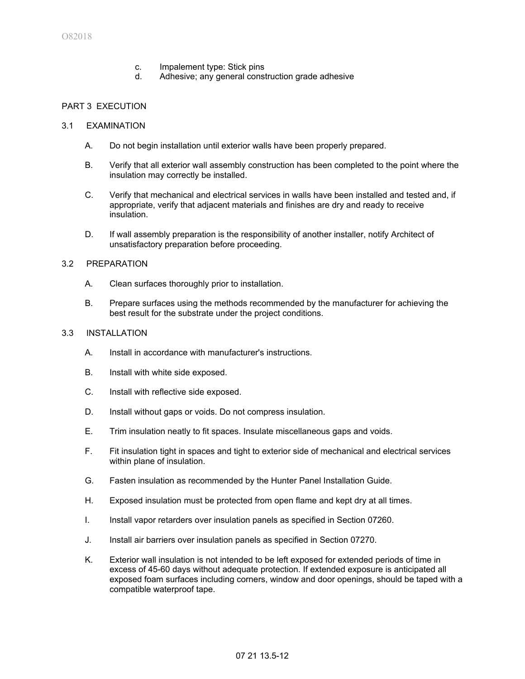- c. Impalement type: Stick pins
- d. Adhesive; any general construction grade adhesive

### PART 3 EXECUTION

#### 3.1 EXAMINATION

- A. Do not begin installation until exterior walls have been properly prepared.
- B. Verify that all exterior wall assembly construction has been completed to the point where the insulation may correctly be installed.
- C. Verify that mechanical and electrical services in walls have been installed and tested and, if appropriate, verify that adjacent materials and finishes are dry and ready to receive insulation.
- D. If wall assembly preparation is the responsibility of another installer, notify Architect of unsatisfactory preparation before proceeding.

#### 3.2 PREPARATION

- A. Clean surfaces thoroughly prior to installation.
- B. Prepare surfaces using the methods recommended by the manufacturer for achieving the best result for the substrate under the project conditions.

### 3.3 INSTALLATION

- A. Install in accordance with manufacturer's instructions.
- B. Install with white side exposed.
- C. Install with reflective side exposed.
- D. Install without gaps or voids. Do not compress insulation.
- E. Trim insulation neatly to fit spaces. Insulate miscellaneous gaps and voids.
- F. Fit insulation tight in spaces and tight to exterior side of mechanical and electrical services within plane of insulation.
- G. Fasten insulation as recommended by the Hunter Panel Installation Guide.
- H. Exposed insulation must be protected from open flame and kept dry at all times.
- I. Install vapor retarders over insulation panels as specified in Section 07260.
- J. Install air barriers over insulation panels as specified in Section 07270.
- K. Exterior wall insulation is not intended to be left exposed for extended periods of time in excess of 45-60 days without adequate protection. If extended exposure is anticipated all exposed foam surfaces including corners, window and door openings, should be taped with a compatible waterproof tape.